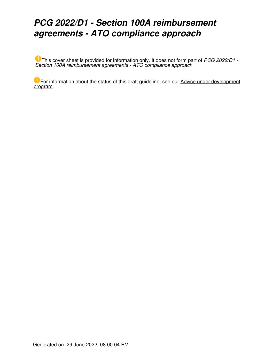# *PCG 2022/D1 - Section 100A reimbursement agreements - ATO compliance approach*

This cover sheet is provided for information only. It does not form part of *PCG 2022/D1 - Section 100A reimbursement agreements - ATO compliance approach*

**U** For information about the status of this draft guideline, see our [Advice under development](https://www.ato.gov.au/General/ATO-advice-and-guidance/Advice-under-development-program/Advice-under-development---trust-specific-issues/#BK_3942) [program](https://www.ato.gov.au/General/ATO-advice-and-guidance/Advice-under-development-program/Advice-under-development---trust-specific-issues/#BK_3942).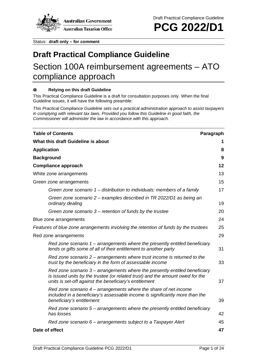

Status: **draft only – for comment**

# **Draft Practical Compliance Guideline**

# Section 100A reimbursement agreements – ATO compliance approach

#### **Relying on this draft Guideline**  $\bf{O}$

This Practical Compliance Guideline is a draft for consultation purposes only. When the final Guideline issues, it will have the following preamble:

*This Practical Compliance Guideline sets out a practical administration approach to assist taxpayers in complying with relevant tax laws. Provided you follow this Guideline in good faith, the Commissioner will administer the law in accordance with this approach.*

| <b>Table of Contents</b>                                                                                                                                                                                                 | Paragraph |
|--------------------------------------------------------------------------------------------------------------------------------------------------------------------------------------------------------------------------|-----------|
| What this draft Guideline is about                                                                                                                                                                                       | 1         |
| <b>Application</b>                                                                                                                                                                                                       | 8         |
| <b>Background</b>                                                                                                                                                                                                        | 9         |
| <b>Compliance approach</b>                                                                                                                                                                                               | 12        |
| White zone arrangements                                                                                                                                                                                                  | 13        |
| Green zone arrangements                                                                                                                                                                                                  | 15        |
| Green zone scenario 1 – distribution to individuals: members of a family                                                                                                                                                 | 17        |
| Green zone scenario 2 – examples described in TR 2022/D1 as being an<br>ordinary dealing                                                                                                                                 | 19        |
| Green zone scenario $3$ – retention of funds by the trustee                                                                                                                                                              | 20        |
| Blue zone arrangements                                                                                                                                                                                                   | 24        |
| Features of blue zone arrangements involving the retention of funds by the trustees                                                                                                                                      | 25        |
| Red zone arrangements                                                                                                                                                                                                    | 29        |
| Red zone scenario $1$ – arrangements where the presently entitled beneficiary<br>lends or gifts some of all of their entitlement to another party                                                                        | 31        |
| Red zone scenario 2 – arrangements where trust income is returned to the<br>trust by the beneficiary in the form of assessable income                                                                                    | 33        |
| Red zone scenario $3$ – arrangements where the presently entitled beneficiary<br>is issued units by the trustee (or related trust) and the amount owed for the<br>units is set-off against the beneficiary's entitlement | 37        |
| Red zone scenario $4$ – arrangements where the share of net income<br>included in a beneficiary's assessable income is significantly more than the<br>beneficiary's entitlement                                          | 39        |
| Red zone scenario $5$ – arrangements where the presently entitled beneficiary<br>has losses                                                                                                                              | 42        |
| Red zone scenario 6 – arrangements subject to a Taxpayer Alert                                                                                                                                                           | 45        |
| Date of effect                                                                                                                                                                                                           | 47        |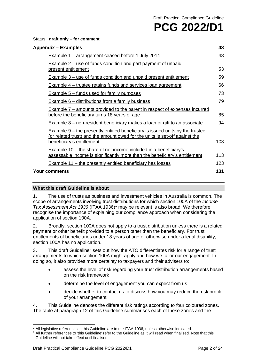## Status: **draft only – for comment**

| Appendix – Examples                                                                                                                                                                              | 48  |
|--------------------------------------------------------------------------------------------------------------------------------------------------------------------------------------------------|-----|
| <b>Example 1 – arrangement ceased before 1 July 2014</b>                                                                                                                                         | 48  |
| Example 2 – use of funds condition and part payment of unpaid<br>present entitlement                                                                                                             | 53  |
| <b>Example 3 – use of funds condition and unpaid present entitlement</b>                                                                                                                         | 59  |
| <b>Example 4 – trustee retains funds and services loan agreement</b>                                                                                                                             | 66  |
| <b>Example 5 – funds used for family purposes</b>                                                                                                                                                | 73  |
| <b>Example 6 – distributions from a family business</b>                                                                                                                                          | 79  |
| Example $7$ – amounts provided to the parent in respect of expenses incurred<br>before the beneficiary turns 18 years of age                                                                     | 85  |
| Example 8 – non-resident beneficiary makes a loan or gift to an associate                                                                                                                        | 94  |
| <b>Example 9 – the presently entitled beneficiary is issued units by the trustee</b><br>(or related trust) and the amount owed for the units is set-off against the<br>beneficiary's entitlement | 103 |
| <b>Example 10 – the share of net income included in a beneficiary's</b><br>assessable income is significantly more than the beneficiary's entitlement                                            | 113 |
| <b>Example 11 – the presently entitled beneficiary has losses</b>                                                                                                                                | 123 |
| <b>Your comments</b>                                                                                                                                                                             | 131 |

# **What this draft Guideline is about**

1. The use of trusts as business and investment vehicles in Australia is common. The scope of arrangements involving trust distributions for which section 100A of the *Income Tax Assessment Act 1936* (ITAA 1936)[1](#page-2-0) may be relevant is also broad. We therefore recognise the importance of explaining our compliance approach when considering the application of section 100A.

2. Broadly, section 100A does not apply to a trust distribution unless there is a related payment or other benefit provided to a person other than the beneficiary. For trust entitlements of beneficiaries under 18 years of age or otherwise under a legal disability, section 100A has no application.

3. This draft Guideline<sup>[2](#page-2-1)</sup> sets out how the ATO differentiates risk for a range of trust arrangements to which section 100A might apply and how we tailor our engagement. In doing so, it also provides more certainty to taxpayers and their advisers to:

- assess the level of risk regarding your trust distribution arrangements based on the risk framework
- determine the level of engagement you can expect from us
- decide whether to contact us to discuss how you may reduce the risk profile of your arrangement.

4. This Guideline denotes the different risk ratings according to four coloured zones. The table at paragraph [12](#page-4-0) of this Guideline summarises each of these zones and the

<sup>1</sup> All legislative references in this Guideline are to the ITAA 1936, unless otherwise indicated.

<span id="page-2-1"></span><span id="page-2-0"></span> $2$  All further references to 'this Guideline' refer to the Guideline as it will read when finalised. Note that this Guideline will not take effect until finalised.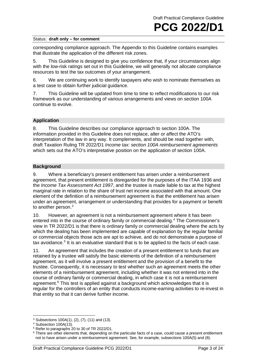corresponding compliance approach. The Appendix to this Guideline contains examples that illustrate the application of the different risk zones.

5. This Guideline is designed to give you confidence that, if your circumstances align with the low-risk ratings set out in this Guideline, we will generally not allocate compliance resources to test the tax outcomes of your arrangement.

6. We are continuing work to identify taxpayers who wish to nominate themselves as a test case to obtain further judicial guidance.

7. This Guideline will be updated from time to time to reflect modifications to our risk framework as our understanding of various arrangements and views on section 100A continue to evolve.

# **Application**

8. This Guideline describes our compliance approach to section 100A. The information provided in this Guideline does not replace, alter or affect the ATO's interpretation of the law in any way. It complements, and should be read together with, draft Taxation Ruling TR 2022/D1 *Income tax: section 100A reimbursement agreements* which sets out the ATO's interpretative position on the application of section 100A.

## **Background**

9. Where a beneficiary's present entitlement has arisen under a reimbursement agreement, that present entitlement is disregarded for the purposes of the ITAA 1936 and the *Income Tax Assessment Act 1997*, and the trustee is made liable to tax at the highest marginal rate in relation to the share of trust net income associated with that amount. One element of the definition of a reimbursement agreement is that the entitlement has arisen under an agreement, arrangement or understanding that provides for a payment or benefit to another person.<sup>3</sup>

10. However, an agreement is not a reimbursement agreement where it has been entered into in the course of ordinary family or commercial dealing.[4](#page-3-1) The Commissioner's view in TR 2022/D1 is that there is ordinary family or commercial dealing where the acts by which the dealing has been implemented are capable of explanation by the regular familial or commercial objects those acts are apt to achieve, and do not demonstrate a purpose of tax avoidance*.* [5](#page-3-2) It is an evaluative standard that is to be applied to the facts of each case.

11. An agreement that includes the creation of a present entitlement to funds that are retained by a trustee will satisfy the basic elements of the definition of a reimbursement agreement, as it will involve a present entitlement and the provision of a benefit to the trustee. Consequently, it is necessary to test whether such an agreement meets the other elements of a reimbursement agreement, including whether it was not entered into in the course of ordinary family or commercial dealing, in which case it is not a reimbursement agreement.<sup>[6](#page-3-3)</sup> This test is applied against a background which acknowledges that it is regular for the controllers of an entity that conducts income-earning activities to re-invest in that entity so that it can derive further income.

<span id="page-3-0"></span> $3$  Subsections 100A(1), (2), (7), (11) and (13).

<span id="page-3-1"></span><sup>4</sup> Subsection 100A(13).

<span id="page-3-2"></span><sup>5</sup> Refer to paragraphs 20 to 30 of TR 2022/D1.

<span id="page-3-3"></span><sup>&</sup>lt;sup>6</sup> There are other elements that, depending on the particular facts of a case, could cause a present entitlement not to have arisen under a reimbursement agreement. See, for example, subsections 100A(5) and (8).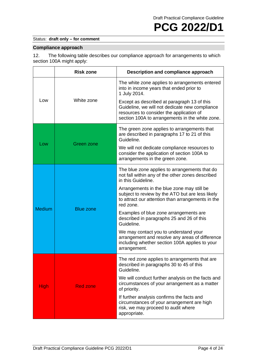# Status: **draft only – for comment**

# **Compliance approach**

<span id="page-4-0"></span>12. The following table describes our compliance approach for arrangements to which section 100A might apply:

|               | <b>Risk zone</b> | Description and compliance approach                                                                                                                                                          |
|---------------|------------------|----------------------------------------------------------------------------------------------------------------------------------------------------------------------------------------------|
| Low           | White zone       | The white zone applies to arrangements entered<br>into in income years that ended prior to<br>1 July 2014.                                                                                   |
|               |                  | Except as described at paragraph 13 of this<br>Guideline, we will not dedicate new compliance<br>resources to consider the application of<br>section 100A to arrangements in the white zone. |
| Low           | Green zone       | The green zone applies to arrangements that<br>are described in paragraphs 17 to 21 of this<br>Guideline.                                                                                    |
|               |                  | We will not dedicate compliance resources to<br>consider the application of section 100A to<br>arrangements in the green zone.                                                               |
| <b>Medium</b> | <b>Blue zone</b> | The blue zone applies to arrangements that do<br>not fall within any of the other zones described<br>in this Guideline.                                                                      |
|               |                  | Arrangements in the blue zone may still be<br>subject to review by the ATO but are less likely<br>to attract our attention than arrangements in the<br>red zone.                             |
|               |                  | Examples of blue zone arrangements are<br>described in paragraphs 25 and 26 of this<br>Guideline.                                                                                            |
|               |                  | We may contact you to understand your<br>arrangement and resolve any areas of difference<br>including whether section 100A applies to your<br>arrangement.                                   |
| <b>High</b>   | <b>Red zone</b>  | The red zone applies to arrangements that are<br>described in paragraphs 30 to 45 of this<br>Guideline.                                                                                      |
|               |                  | We will conduct further analysis on the facts and<br>circumstances of your arrangement as a matter<br>of priority.                                                                           |
|               |                  | If further analysis confirms the facts and<br>circumstances of your arrangement are high<br>risk, we may proceed to audit where<br>appropriate.                                              |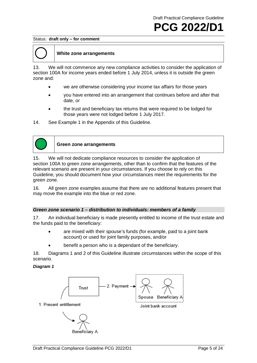#### Status: **draft only – for comment**



# **White zone arrangements**

<span id="page-5-0"></span>13. We will not commence any new compliance activities to consider the application of section 100A for income years ended before 1 July 2014, unless it is outside the green zone and:

- we are otherwise considering your income tax affairs for those years
- you have entered into an arrangement that continues before and after that date, or
- the trust and beneficiary tax returns that were required to be lodged for those years were not lodged before 1 July 2017.
- 14. See Example 1 in the Appendix of this Guideline.



**Green zone arrangements**

15. We will not dedicate compliance resources to consider the application of section 100A to green zone arrangements, other than to confirm that the features of the relevant scenario are present in your circumstances. If you choose to rely on this Guideline, you should document how your circumstances meet the requirements for the green zone.

16. All green zone examples assume that there are no additional features present that may move the example into the blue or red zone.

## *Green zone scenario 1 – distribution to individuals: members of a family*

17. An individual beneficiary is made presently entitled to income of the trust estate and the funds paid to the beneficiary:

- are mixed with their spouse's funds (for example, paid to a joint bank account) or used for joint family purposes, and/or
- benefit a person who is a dependant of the beneficiary.

18. Diagrams 1 and 2 of this Guideline illustrate circumstances within the scope of this scenario.

## *Diagram 1*

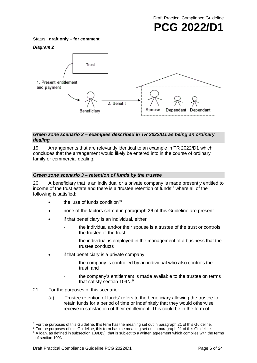Status: **draft only – for comment**



# *Green zone scenario 2 – examples described in TR 2022/D1 as being an ordinary dealing*

19. Arrangements that are relevantly identical to an example in TR 2022/D1 which concludes that the arrangement would likely be entered into in the course of ordinary family or commercial dealing.

# *Green zone scenario 3 – retention of funds by the trustee*

20. A beneficiary that is an individual or a private company is made presently entitled to income of the trust estate and there is a 'trustee retention of funds' [7](#page-6-0) where all of the following is satisfied:

- the 'use of funds condition'<sup>[8](#page-6-1)</sup>
- none of the factors set out in paragraph 26 of this Guideline are present
- if that beneficiary is an individual, either
	- the individual and/or their spouse is a trustee of the trust or controls the trustee of the trust
	- the individual is employed in the management of a business that the trustee conducts
- if that beneficiary is a private company
	- the company is controlled by an individual who also controls the trust, and
	- the company's entitlement is made available to the trustee on terms that satisfy section 10[9](#page-6-2)N.<sup>9</sup>
- 21. For the purposes of this scenario:
	- (a) 'Trustee retention of funds' refers to the beneficiary allowing the trustee to retain funds for a period of time or indefinitely that they would otherwise receive in satisfaction of their entitlement. This could be in the form of

<span id="page-6-0"></span> $7$  For the purposes of this Guideline, this term has the meaning set out in paragraph 21 of this Guideline.

<span id="page-6-1"></span><sup>&</sup>lt;sup>8</sup> For the purposes of this Guideline, this term has the meaning set out in paragraph 21 of this Guideline.

<span id="page-6-2"></span><sup>&</sup>lt;sup>9</sup> A loan, as defined in subsection 109D(3), that is subject to a written agreement which complies with the terms of section 109N.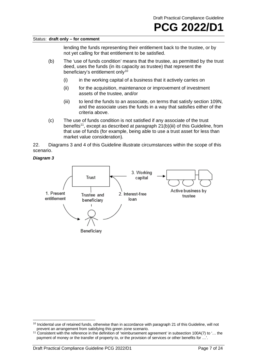lending the funds representing their entitlement back to the trustee, or by not yet calling for that entitlement to be satisfied.

- (b) The 'use of funds condition' means that the trustee, as permitted by the trust deed, uses the funds (in its capacity as trustee) that represent the beneficiary's entitlement only<sup>[10](#page-7-0)</sup>
	- (i) in the working capital of a business that it actively carries on
	- (ii) for the acquisition, maintenance or improvement of investment assets of the trustee, and/or
	- (iii) to lend the funds to an associate, on terms that satisfy section 109N, and the associate uses the funds in a way that satisfies either of the criteria above.
- (c) The use of funds condition is not satisfied if any associate of the trust benefits<sup>11</sup>, except as described at paragraph 21(b)(iii) of this Guideline, from that use of funds (for example, being able to use a trust asset for less than market value consideration).

22. Diagrams 3 and 4 of this Guideline illustrate circumstances within the scope of this scenario.

## *Diagram 3*



<span id="page-7-0"></span> $10$  Incidental use of retained funds, otherwise than in accordance with paragraph 21 of this Guideline, will not prevent an arrangement from satisfying this green zone scenario.

<span id="page-7-1"></span><sup>11</sup> Consistent with the reference in the definition of 'reimbursement agreement' in subsection 100A(7) to '… the payment of money or the transfer of property to, or the provision of services or other benefits for ...'.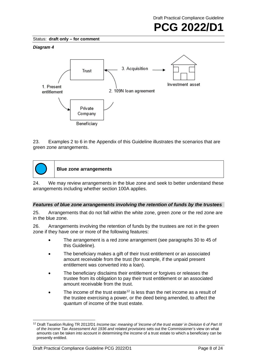Draft Practical Compliance Guideline



Status: **draft only – for comment**

#### *Diagram 4*



23. Examples 2 to 6 in the Appendix of this Guideline illustrates the scenarios that are green zone arrangements.



**Blue zone arrangements**

24. We may review arrangements in the blue zone and seek to better understand these arrangements including whether section 100A applies.

## *Features of blue zone arrangements involving the retention of funds by the trustees*

25. Arrangements that do not fall within the white zone, green zone or the red zone are in the blue zone.

26. Arrangements involving the retention of funds by the trustees are not in the green zone if they have one or more of the following features:

- The arrangement is a red zone arrangement (see paragraphs 30 to 45 of this Guideline).
- The beneficiary makes a gift of their trust entitlement or an associated amount receivable from the trust (for example, if the unpaid present entitlement was converted into a loan).
- The beneficiary disclaims their entitlement or forgives or releases the trustee from its obligation to pay their trust entitlement or an associated amount receivable from the trust.
- The income of the trust estate<sup>[12](#page-8-0)</sup> is less than the net income as a result of the trustee exercising a power, or the deed being amended, to affect the quantum of income of the trust estate.

<span id="page-8-0"></span><sup>12</sup> Draft Taxation Ruling TR 2012/D1 *Income tax: meaning of 'income of the trust estate' in Division 6 of Part III of the Income Tax Assessment Act 1936 and related provisions* sets out the Commissioner's view on what amounts can be taken into account in determining the income of a trust estate to which a beneficiary can be presently entitled.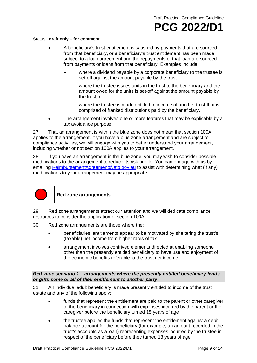- A beneficiary's trust entitlement is satisfied by payments that are sourced from that beneficiary, or a beneficiary's trust entitlement has been made subject to a loan agreement and the repayments of that loan are sourced from payments or loans from that beneficiary. Examples include
	- where a dividend payable by a corporate beneficiary to the trustee is set-off against the amount payable by the trust
	- where the trustee issues units in the trust to the beneficiary and the amount owed for the units is set-off against the amount payable by the trust, or
	- where the trustee is made entitled to income of another trust that is comprised of franked distributions paid by the beneficiary.
- The arrangement involves one or more features that may be explicable by a tax avoidance purpose.

27. That an arrangement is within the blue zone does not mean that section 100A applies to the arrangement. If you have a blue zone arrangement and are subject to compliance activities, we will engage with you to better understand your arrangement, including whether or not section 100A applies to your arrangement.

28. If you have an arrangement in the blue zone, you may wish to consider possible modifications to the arrangement to reduce its risk profile. You can engage with us by emailing [ReimbursementAgreement@ato.gov.au](mailto:ReimbursementAgreement@ato.gov.au) to assist with determining what (if any) modifications to your arrangement may be appropriate.



## **Red zone arrangements**

29. Red zone arrangements attract our attention and we will dedicate compliance resources to consider the application of section 100A.

- 30. Red zone arrangements are those where the:
	- beneficiaries' entitlements appear to be motivated by sheltering the trust's (taxable) net income from higher rates of tax
	- arrangement involves contrived elements directed at enabling someone other than the presently entitled beneficiary to have use and enjoyment of the economic benefits referable to the trust net income.

## *Red zone scenario 1 – arrangements where the presently entitled beneficiary lends or gifts some or all of their entitlement to another party*

31. An individual adult beneficiary is made presently entitled to income of the trust estate and any of the following apply:

- funds that represent the entitlement are paid to the parent or other caregiver of the beneficiary in connection with expenses incurred by the parent or the caregiver before the beneficiary turned 18 years of age
- the trustee applies the funds that represent the entitlement against a debit balance account for the beneficiary (for example, an amount recorded in the trust's accounts as a loan) representing expenses incurred by the trustee in respect of the beneficiary before they turned 18 years of age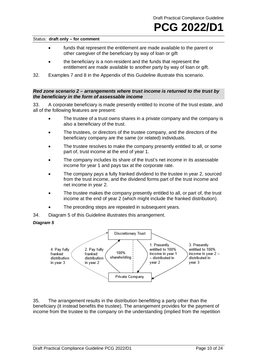- funds that represent the entitlement are made available to the parent or other caregiver of the beneficiary by way of loan or gift
- the beneficiary is a non-resident and the funds that represent the entitlement are made available to another party by way of loan or gift.
- 32. Examples 7 and 8 in the Appendix of this Guideline illustrate this scenario.

#### *Red zone scenario 2 – arrangements where trust income is returned to the trust by the beneficiary in the form of assessable income*

33. A corporate beneficiary is made presently entitled to income of the trust estate, and all of the following features are present:

- The trustee of a trust owns shares in a private company and the company is also a beneficiary of the trust.
- The trustees, or directors of the trustee company, and the directors of the beneficiary company are the same (or related) individuals.
- The trustee resolves to make the company presently entitled to all, or some part of, trust income at the end of year 1.
- The company includes its share of the trust's net income in its assessable income for year 1 and pays tax at the corporate rate.
- The company pays a fully franked dividend to the trustee in year 2, sourced from the trust income, and the dividend forms part of the trust income and net income in year 2.
- The trustee makes the company presently entitled to all, or part of, the trust income at the end of year 2 (which might include the franked distribution).
- The preceding steps are repeated in subsequent years.
- 34. Diagram 5 of this Guideline illustrates this arrangement.

## *Diagram 5*



35. The arrangement results in the distribution benefitting a party other than the beneficiary (it instead benefits the trustee). The arrangement provides for the payment of income from the trustee to the company on the understanding (implied from the repetition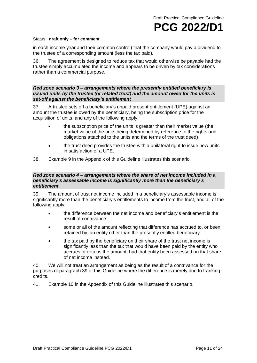in each income year and their common control) that the company would pay a dividend to the trustee of a corresponding amount (less the tax paid).

36. The agreement is designed to reduce tax that would otherwise be payable had the trustee simply accumulated the income and appears to be driven by tax considerations rather than a commercial purpose.

## *Red zone scenario 3 – arrangements where the presently entitled beneficiary is issued units by the trustee (or related trust) and the amount owed for the units is set-off against the beneficiary's entitlement*

37. A trustee sets off a beneficiary's unpaid present entitlement (UPE) against an amount the trustee is owed by the beneficiary, being the subscription price for the acquisition of units, and any of the following apply:

- the subscription price of the units is greater than their market value (the market value of the units being determined by reference to the rights and obligations attached to the units and the terms of the trust deed)
- the trust deed provides the trustee with a unilateral right to issue new units in satisfaction of a UPE.
- 38. Example 9 in the Appendix of this Guideline illustrates this scenario.

# *Red zone scenario 4 – arrangements where the share of net income included in a beneficiary's assessable income is significantly more than the beneficiary's entitlement*

39. The amount of trust net income included in a beneficiary's assessable income is significantly more than the beneficiary's entitlements to income from the trust, and all of the following apply:

- the difference between the net income and beneficiary's entitlement is the result of contrivance
- some or all of the amount reflecting that difference has accrued to, or been retained by, an entity other than the presently entitled beneficiary
- the tax paid by the beneficiary on their share of the trust net income is significantly less than the tax that would have been paid by the entity who accrues or retains the amount, had that entity been assessed on that share of net income instead.

40. We will not treat an arrangement as being as the result of a contrivance for the purposes of paragraph 39 of this Guideline where the difference is merely due to franking credits.

41. Example 10 in the Appendix of this Guideline illustrates this scenario.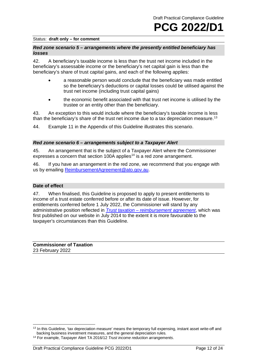## *Red zone scenario 5 – arrangements where the presently entitled beneficiary has losses*

42. A beneficiary's taxable income is less than the trust net income included in the beneficiary's assessable income or the beneficiary's net capital gain is less than the beneficiary's share of trust capital gains, and each of the following applies:

- a reasonable person would conclude that the beneficiary was made entitled so the beneficiary's deductions or capital losses could be utilised against the trust net income (including trust capital gains)
- the economic benefit associated with that trust net income is utilised by the trustee or an entity other than the beneficiary.

43. An exception to this would include where the beneficiary's taxable income is less than the beneficiary's share of the trust net income due to a tax depreciation measure.<sup>[13](#page-12-0)</sup>

44. Example 11 in the Appendix of this Guideline illustrates this scenario.

#### *Red zone scenario 6 – arrangements subject to a Taxpayer Alert*

45. An arrangement that is the subject of a Taxpayer Alert where the Commissioner expresses a concern that section 100A applies<sup>[14](#page-12-1)</sup> is a red zone arrangement.

46. If you have an arrangement in the red zone, we recommend that you engage with us by emailing [ReimbursementAgreement@ato.gov.au.](mailto:ReimbursementAgreement@ato.gov.au)

## **Date of effect**

47. When finalised, this Guideline is proposed to apply to present entitlements to income of a trust estate conferred before or after its date of issue. However, for entitlements conferred before 1 July 2022, the Commissioner will stand by any administrative position reflected in *[Trust taxation –](http://ato.gov.au/law/view/document?DocID=SGM/trusttaxation) reimbursement agreement*, which was first published on our website in July 2014 to the extent it is more favourable to the taxpayer's circumstances than this Guideline.

**Commissioner of Taxation** 23 February 2022

<span id="page-12-0"></span><sup>13</sup> In this Guideline, 'tax depreciation measure' means the temporary full expensing, instant asset write-off and backing business investment measures, and the general depreciation rules.

<span id="page-12-1"></span><sup>14</sup> For example, Taxpayer Alert TA 2016/12 *Trust income reduction arrangements*.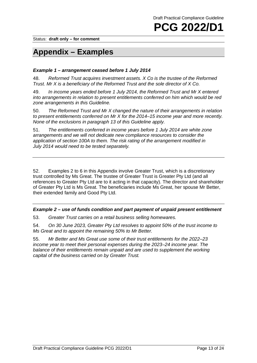Status: **draft only – for comment**

# **Appendix – Examples**

# *Example 1 – arrangement ceased before 1 July 2014*

48. *Reformed Trust acquires investment assets. X Co is the trustee of the Reformed Trust. Mr X is a beneficiary of the Reformed Trust and the sole director of X Co.*

49. *In income years ended before 1 July 2014, the Reformed Trust and Mr X entered into arrangements in relation to present entitlements conferred on him which would be red zone arrangements in this Guideline.*

50. *The Reformed Trust and Mr X changed the nature of their arrangements in relation to present entitlements conferred on Mr X for the 2014–15 income year and more recently. None of the exclusions in paragraph 13 of this Guideline apply.*

51. *The entitlements conferred in income years before 1 July 2014 are white zone arrangements and we will not dedicate new compliance resources to consider the application of section 100A to them. The risk rating of the arrangement modified in July 2014 would need to be tested separately.*

52. Examples 2 to 6 in this Appendix involve Greater Trust, which is a discretionary trust controlled by Ms Great. The trustee of Greater Trust is Greater Pty Ltd (and all references to Greater Pty Ltd are to it acting in that capacity). The director and shareholder of Greater Pty Ltd is Ms Great. The beneficiaries include Ms Great, her spouse Mr Better, their extended family and Good Pty Ltd.

# *Example 2 – use of funds condition and part payment of unpaid present entitlement*

53. *Greater Trust carries on a retail business selling homewares.*

54. *On 30 June 2023, Greater Pty Ltd resolves to appoint 50% of the trust income to Ms Great and to appoint the remaining 50% to Mr Better.*

55. *Mr Better and Ms Great use some of their trust entitlements for the 2022–23 income year to meet their personal expenses during the 2023–24 income year. The*  balance of their entitlements remain unpaid and are used to supplement the working *capital of the business carried on by Greater Trust.*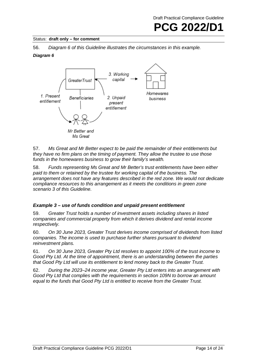

56. *Diagram 6 of this Guideline illustrates the circumstances in this example.*

# *Diagram 6*



57. *Ms Great and Mr Better expect to be paid the remainder of their entitlements but they have no firm plans on the timing of payment. They allow the trustee to use those funds in the homewares business to grow their family's wealth.*

58. *Funds representing Ms Great and Mr Better's trust entitlements have been either paid to them or retained by the trustee for working capital of the business. The arrangement does not have any features described in the red zone. We would not dedicate compliance resources to this arrangement as it meets the conditions in green zone scenario 3 of this Guideline.*

# *Example 3 – use of funds condition and unpaid present entitlement*

59. *Greater Trust holds a number of investment assets including shares in listed companies and commercial property from which it derives dividend and rental income respectively.*

60. *On 30 June 2023, Greater Trust derives income comprised of dividends from listed companies. The income is used to purchase further shares pursuant to dividend reinvestment plans.*

61. *On 30 June 2023, Greater Pty Ltd resolves to appoint 100% of the trust income to Good Pty Ltd. At the time of appointment, there is an understanding between the parties that Good Pty Ltd will use its entitlement to lend money back to the Greater Trust.*

62. *During the 2023–24 income year, Greater Pty Ltd enters into an arrangement with Good Pty Ltd that complies with the requirements in section 109N to borrow an amount equal to the funds that Good Pty Ltd is entitled to receive from the Greater Trust.*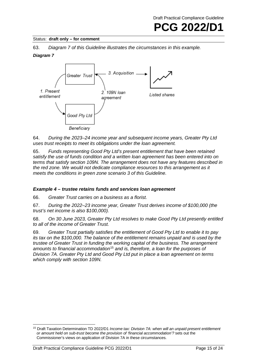## Status: **draft only – for comment**

63. *Diagram 7 of this Guideline illustrates the circumstances in this example.*

# *Diagram 7*



64. *During the 2023–24 income year and subsequent income years, Greater Pty Ltd uses trust receipts to meet its obligations under the loan agreement.*

65. *Funds representing Good Pty Ltd's present entitlement that have been retained satisfy the use of funds condition and a written loan agreement has been entered into on terms that satisfy section 109N. The arrangement does not have any features described in the red zone. We would not dedicate compliance resources to this arrangement as it meets the conditions in green zone scenario 3 of this Guideline.*

# *Example 4 – trustee retains funds and services loan agreement*

66. *Greater Trust carries on a business as a florist.*

67. *During the 2022–23 income year, Greater Trust derives income of \$100,000 (the trust's net income is also \$100,000).*

68. *On 30 June 2023, Greater Pty Ltd resolves to make Good Pty Ltd presently entitled to all of the income of Greater Trust.*

69. *Greater Trust partially satisfies the entitlement of Good Pty Ltd to enable it to pay its tax on the \$100,000. The balance of the entitlement remains unpaid and is used by the trustee of Greater Trust in funding the working capital of the business. The arrangement amounts to financial accommodation*[15](#page-15-0) *and is, therefore, a loan for the purposes of Division 7A. Greater Pty Ltd and Good Pty Ltd put in place a loan agreement on terms which comply with section 109N.*

<span id="page-15-0"></span><sup>15</sup> Draft Taxation Determination TD 2022/D1 *Income tax: Division 7A: when will an unpaid present entitlement or amount held on sub-trust become the provision of 'financial accommodation'?* sets out the Commissioner's views on application of Division 7A in these circumstances.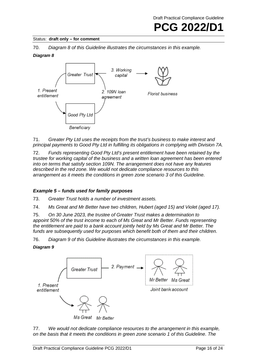# Status: **draft only – for comment**

70. *Diagram 8 of this Guideline illustrates the circumstances in this example.*

# *Diagram 8*



71. *Greater Pty Ltd uses the receipts from the trust's business to make interest and principal payments to Good Pty Ltd in fulfilling its obligations in complying with Division 7A.*

72. *Funds representing Good Pty Ltd's present entitlement have been retained by the trustee for working capital of the business and a written loan agreement has been entered into on terms that satisfy section 109N. The arrangement does not have any features described in the red zone. We would not dedicate compliance resources to this arrangement as it meets the conditions in green zone scenario 3 of this Guideline.*

# *Example 5 – funds used for family purposes*

73. *Greater Trust holds a number of investment assets.*

74. *Ms Great and Mr Better have two children, Hubert (aged 15) and Violet (aged 17).*

75. *On 30 June 2023, the trustee of Greater Trust makes a determination to appoint 50% of the trust income to each of Ms Great and Mr Better. Funds representing the entitlement are paid to a bank account jointly held by Ms Great and Mr Better. The funds are subsequently used for purposes which benefit both of them and their children.*

76. *Diagram 9 of this Guideline illustrates the circumstances in this example.*

*Diagram 9*



77. *We would not dedicate compliance resources to the arrangement in this example, on the basis that it meets the conditions in green zone scenario 1 of this Guideline. The*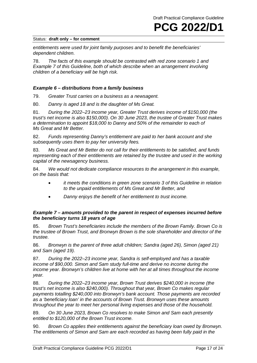*entitlements were used for joint family purposes and to benefit the beneficiaries' dependent children.*

78. *The facts of this example should be contrasted with red zone scenario 1 and Example 7 of this Guideline, both of which describe when an arrangement involving children of a beneficiary will be high risk.*

# *Example 6 – distributions from a family business*

79. *Greater Trust carries on a business as a newsagent.*

80. *Danny is aged 18 and is the daughter of Ms Great.*

81. *During the 2022–23 income year, Greater Trust derives income of \$150,000 (the trust's net income is also \$150,000). On 30 June 2023, the trustee of Greater Trust makes a determination to appoint \$18,000 to Danny and 50% of the remainder to each of Ms Great and Mr Better.*

82. *Funds representing Danny's entitlement are paid to her bank account and she subsequently uses them to pay her university fees.*

83. *Ms Great and Mr Better do not call for their entitlements to be satisfied, and funds representing each of their entitlements are retained by the trustee and used in the working capital of the newsagency business.*

84. *We would not dedicate compliance resources to the arrangement in this example, on the basis that:*

- *it meets the conditions in green zone scenario 3 of this Guideline in relation to the unpaid entitlements of Ms Great and Mr Better, and*
- *Danny enjoys the benefit of her entitlement to trust income.*

# *Example 7 – amounts provided to the parent in respect of expenses incurred before the beneficiary turns 18 years of age*

85. *Brown Trust's beneficiaries include the members of the Brown Family. Brown Co is the trustee of Brown Trust, and Bronwyn Brown is the sole shareholder and director of the trustee.*

86. *Bronwyn is the parent of three adult children; Sandra (aged 26), Simon (aged 21) and Sam (aged 19).*

87. *During the 2022–23 income year, Sandra is self-employed and has a taxable income of \$90,000. Simon and Sam study full-time and derive no income during the income year. Bronwyn's children live at home with her at all times throughout the income year.*

88. *During the 2022–23 income year, Brown Trust derives \$240,000 in income (the trust's net income is also \$240,000). Throughout that year, Brown Co makes regular payments totalling \$240,000 into Bronwyn's bank account. Those payments are recorded as a 'beneficiary loan' in the accounts of Brown Trust. Bronwyn uses these amounts throughout the year to meet her personal living expenses and those of the household.*

89. *On 30 June 2023, Brown Co resolves to make Simon and Sam each presently entitled to \$120,000 of the Brown Trust income.*

90. *Brown Co applies their entitlements against the beneficiary loan owed by Bronwyn. The entitlements of Simon and Sam are each recorded as having been fully paid in the*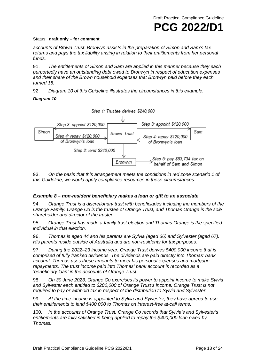*accounts of Brown Trust. Bronwyn assists in the preparation of Simon and Sam's tax returns and pays the tax liability arising in relation to their entitlements from her personal funds.*

91. *The entitlements of Simon and Sam are applied in this manner because they each purportedly have an outstanding debt owed to Bronwyn in respect of education expenses and their share of the Brown household expenses that Bronwyn paid before they each turned 18.*

92. *Diagram 10 of this Guideline illustrates the circumstances in this example.*

# *Diagram 10*



93. *On the basis that this arrangement meets the conditions in red zone scenario 1 of this Guideline, we would apply compliance resources in these circumstances.*

# *Example 8 – non-resident beneficiary makes a loan or gift to an associate*

94. *Orange Trust is a discretionary trust with beneficiaries including the members of the Orange Family. Orange Co is the trustee of Orange Trust, and Thomas Orange is the sole shareholder and director of the trustee.*

95. *Orange Trust has made a family trust election and Thomas Orange is the specified individual in that election.*

96. *Thomas is aged 44 and his parents are Sylvia (aged 66) and Sylvester (aged 67). His parents reside outside of Australia and are non-residents for tax purposes.*

97. *During the 2022–23 income year, Orange Trust derives \$400,000 income that is comprised of fully franked dividends. The dividends are paid directly into Thomas' bank account. Thomas uses these amounts to meet his personal expenses and mortgage repayments. The trust income paid into Thomas' bank account is recorded as a 'beneficiary loan' in the accounts of Orange Trust.*

98. *On 30 June 2023, Orange Co exercises its power to appoint income to make Sylvia and Sylvester each entitled to \$200,000 of Orange Trust's income. Orange Trust is not required to pay or withhold tax in respect of the distribution to Sylvia and Sylvester.*

99. *At the time income is appointed to Sylvia and Sylvester, they have agreed to use their entitlements to lend \$400,000 to Thomas on interest-free at-call terms.*

100. *In the accounts of Orange Trust, Orange Co records that Sylvia's and Sylvester's entitlements are fully satisfied in being applied to repay the \$400,000 loan owed by Thomas.*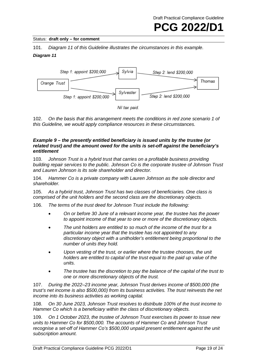## Status: **draft only – for comment**

101. *Diagram 11 of this Guideline illustrates the circumstances in this example. Diagram 11*



102. *On the basis that this arrangement meets the conditions in red zone scenario 1 of this Guideline, we would apply compliance resources in these circumstances.*

# *Example 9 – the presently entitled beneficiary is issued units by the trustee (or related trust) and the amount owed for the units is set-off against the beneficiary's entitlement*

103. *Johnson Trust is a hybrid trust that carries on a profitable business providing building repair services to the public. Johnson Co is the corporate trustee of Johnson Trust and Lauren Johnson is its sole shareholder and director.*

104. *Hammer Co is a private company with Lauren Johnson as the sole director and shareholder.*

105. *As a hybrid trust, Johnson Trust has two classes of beneficiaries. One class is comprised of the unit holders and the second class are the discretionary objects.*

106. *The terms of the trust deed for Johnson Trust include the following:*

- *On or before 30 June of a relevant income year, the trustee has the power to appoint income of that year to one or more of the discretionary objects.*
- *The unit holders are entitled to so much of the income of the trust for a particular income year that the trustee has not appointed to any discretionary object with a unitholder's entitlement being proportional to the number of units they hold.*
- *Upon vesting of the trust, or earlier where the trustee chooses, the unit holders are entitled to capital of the trust equal to the paid up value of the units.*
- *The trustee has the discretion to pay the balance of the capital of the trust to one or more discretionary objects of the trust.*

107. *During the 2022–23 income year, Johnson Trust derives income of \$500,000 (the trust's net income is also \$500,000) from its business activities. The trust reinvests the net income into its business activities as working capital.*

108. *On 30 June 2023, Johnson Trust resolves to distribute 100% of the trust income to Hammer Co which is a beneficiary within the class of discretionary objects.*

109. *On 1 October 2023, the trustee of Johnson Trust exercises its power to issue new units to Hammer Co for \$500,000. The accounts of Hammer Co and Johnson Trust recognise a set-off of Hammer Co's \$500,000 unpaid present entitlement against the unit subscription amount.*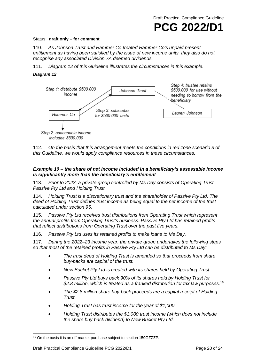Draft Practical Compliance Guideline

# **PCG 2022/D1**

# Status: **draft only – for comment**

110. *As Johnson Trust and Hammer Co treated Hammer Co's unpaid present entitlement as having been satisfied by the issue of new income units, they also do not recognise any associated Division 7A deemed dividends.*

111. *Diagram 12 of this Guideline illustrates the circumstances in this example.*

# *Diagram 12*



112. *On the basis that this arrangement meets the conditions in red zone scenario 3 of this Guideline, we would apply compliance resources in these circumstances.*

# *Example 10 – the share of net income included in a beneficiary's assessable income is significantly more than the beneficiary's entitlement*

113. *Prior to 2023, a private group controlled by Ms Day consists of Operating Trust, Passive Pty Ltd and Holding Trust.*

114. *Holding Trust is a discretionary trust and the shareholder of Passive Pty Ltd. The deed of Holding Trust defines trust income as being equal to the net income of the trust calculated under section 95.*

115. *Passive Pty Ltd receives trust distributions from Operating Trust which represent the annual profits from Operating Trust's business. Passive Pty Ltd has retained profits that reflect distributions from Operating Trust over the past five years.*

116. *Passive Pty Ltd uses its retained profits to make loans to Ms Day.*

117. *During the 2022–23 income year, the private group undertakes the following steps so that most of the retained profits in Passive Pty Ltd can be distributed to Ms Day:*

- *The trust deed of Holding Trust is amended so that proceeds from share buy-backs are capital of the trust.*
- *New Bucket Pty Ltd is created with its shares held by Operating Trust.*
- *Passive Pty Ltd buys back 90% of its shares held by Holding Trust for \$2.8 million, which is treated as a franked distribution for tax law purposes.* [16](#page-20-0)
- *The \$2.8 million share buy-back proceeds are a capital receipt of Holding Trust.*
- *Holding Trust has trust income for the year of \$1,000.*
- *Holding Trust distributes the \$1,000 trust income (which does not include the share buy-back dividend) to New Bucket Pty Ltd.*

<span id="page-20-0"></span><sup>&</sup>lt;sup>16</sup> On the basis it is an off-market purchase subiect to section 159GZZZP.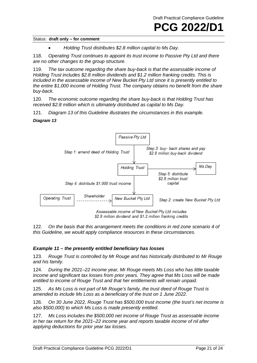• *Holding Trust distributes \$2.8 million capital to Ms Day.*

118. *Operating Trust continues to appoint its trust income to Passive Pty Ltd and there are no other changes to the group structure.*

119. *The tax outcome regarding the share buy-back is that the assessable income of Holding Trust includes \$2.8 million dividends and \$1.2 million franking credits. This is included in the assessable income of New Bucket Pty Ltd since it is presently entitled to the entire \$1,000 income of Holding Trust. The company obtains no benefit from the share buy-back.*

120. *The economic outcome regarding the share buy-back is that Holding Trust has received \$2.8 million which is ultimately distributed as capital to Ms Day.*

121. *Diagram 13 of this Guideline illustrates the circumstances in this example.*

#### *Diagram 13*



122. *On the basis that this arrangement meets the conditions in red zone scenario 4 of this Guideline, we would apply compliance resources in these circumstances.*

## *Example 11 – the presently entitled beneficiary has losses*

123. *Rouge Trust is controlled by Mr Rouge and has historically distributed to Mr Rouge and his family.*

124. *During the 2021–22 income year, Mr Rouge meets Ms Loss who has little taxable income and significant tax losses from prior years. They agree that Ms Loss will be made entitled to income of Rouge Trust and that her entitlements will remain unpaid.*

125. *As Ms Loss is not part of Mr Rouge's family, the trust deed of Rouge Trust is amended to include Ms Loss as a beneficiary of the trust on 1 June 2022.*

126. *On 30 June 2022, Rouge Trust has \$500,000 trust income (the trust's net income is also \$500,000) to which Ms Loss is made presently entitled.*

127. *Ms Loss includes the \$500,000 net income of Rouge Trust as assessable income in her tax return for the 2021–22 income year and reports taxable income of nil after applying deductions for prior year tax losses.*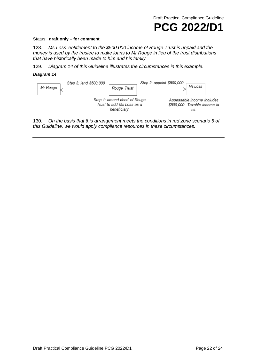

128. *Ms Loss' entitlement to the \$500,000 income of Rouge Trust is unpaid and the money is used by the trustee to make loans to Mr Rouge in lieu of the trust distributions that have historically been made to him and his family.*

129. *Diagram 14 of this Guideline illustrates the circumstances in this example.*

#### *Diagram 14*



130. *On the basis that this arrangement meets the conditions in red zone scenario 5 of this Guideline, we would apply compliance resources in these circumstances.*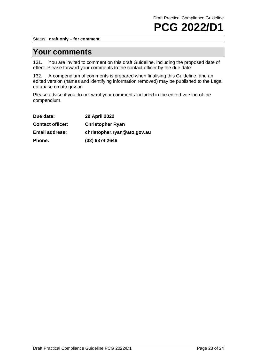Status: **draft only – for comment**

# **Your comments**

131. You are invited to comment on this draft Guideline, including the proposed date of effect. Please forward your comments to the contact officer by the due date.

132. A compendium of comments is prepared when finalising this Guideline, and an edited version (names and identifying information removed) may be published to the Legal database on ato.gov.au

Please advise if you do not want your comments included in the edited version of the compendium.

| Due date:               | <b>29 April 2022</b>        |
|-------------------------|-----------------------------|
| <b>Contact officer:</b> | <b>Christopher Ryan</b>     |
| <b>Email address:</b>   | christopher.ryan@ato.gov.au |
| Phone:                  | (02) 9374 2646              |